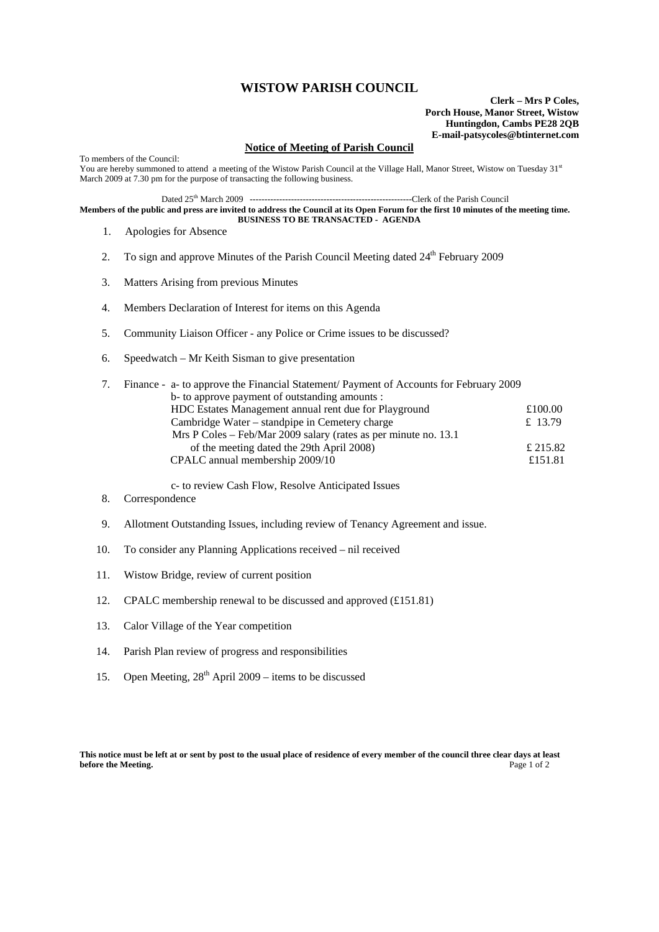## **WISTOW PARISH COUNCIL**

**Clerk – Mrs P Coles, Porch House, Manor Street, Wistow Huntingdon, Cambs PE28 2QB E-mail-patsycoles@btinternet.com**

## **Notice of Meeting of Parish Council**

To members of the Council: You are hereby summoned to attend a meeting of the Wistow Parish Council at the Village Hall, Manor Street, Wistow on Tuesday 31st March 2009 at 7.30 pm for the purpose of transacting the following business.

Dated 25th March 2009 -------------------------------------------------------Clerk of the Parish Council

**Members of the public and press are invited to address the Council at its Open Forum for the first 10 minutes of the meeting time. BUSINESS TO BE TRANSACTED - AGENDA** 

- 1. Apologies for Absence
- 2. To sign and approve Minutes of the Parish Council Meeting dated  $24<sup>th</sup>$  February 2009
- 3. Matters Arising from previous Minutes
- 4. Members Declaration of Interest for items on this Agenda
- 5. Community Liaison Officer any Police or Crime issues to be discussed?
- 6. Speedwatch Mr Keith Sisman to give presentation

|  | Finance - a- to approve the Financial Statement/ Payment of Accounts for February 2009 |           |
|--|----------------------------------------------------------------------------------------|-----------|
|  | b- to approve payment of outstanding amounts :                                         |           |
|  | HDC Estates Management annual rent due for Playground                                  | £100.00   |
|  | Cambridge Water – standpipe in Cemetery charge                                         | £ $13.79$ |
|  | Mrs P Coles – Feb/Mar 2009 salary (rates as per minute no. 13.1)                       |           |
|  | of the meeting dated the 29th April 2008)                                              | £ 215.82  |
|  | CPALC annual membership 2009/10                                                        | £151.81   |
|  |                                                                                        |           |

c- to review Cash Flow, Resolve Anticipated Issues<br>8. Correspondence

- **Correspondence**
- 9. Allotment Outstanding Issues, including review of Tenancy Agreement and issue.
- 10. To consider any Planning Applications received nil received
- 11. Wistow Bridge, review of current position
- 12. CPALC membership renewal to be discussed and approved (£151.81)
- 13. Calor Village of the Year competition
- 14. Parish Plan review of progress and responsibilities
- 15. Open Meeting,  $28^{th}$  April 2009 items to be discussed

**This notice must be left at or sent by post to the usual place of residence of every member of the council three clear days at least before the Meeting.** Page 1 of 2